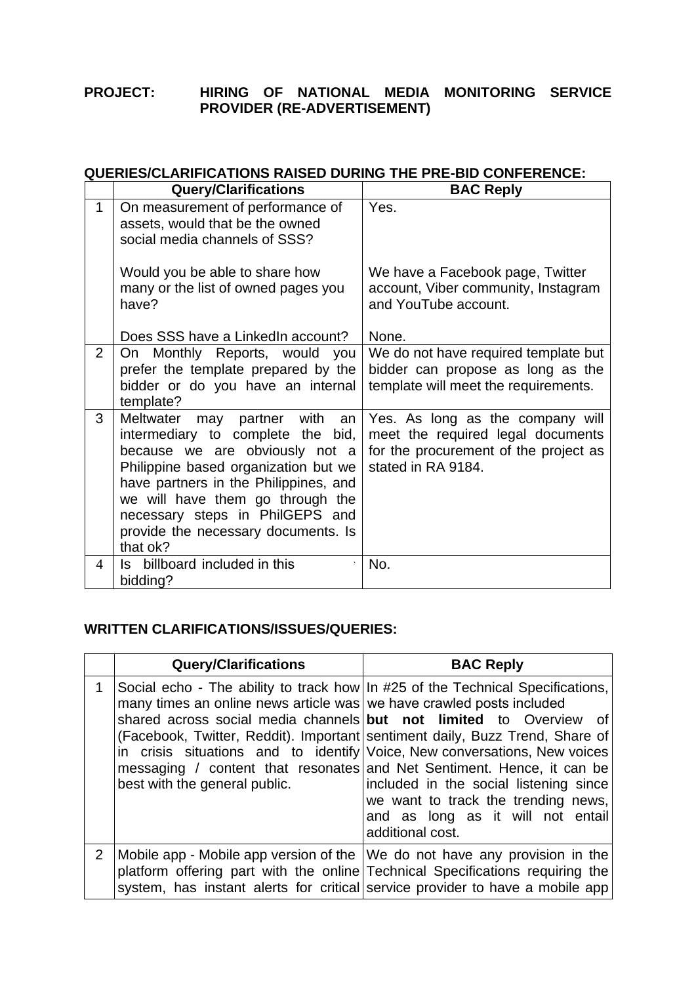## **PROJECT: HIRING OF NATIONAL MEDIA MONITORING SERVICE PROVIDER (RE-ADVERTISEMENT)**

## **QUERIES/CLARIFICATIONS RAISED DURING THE PRE-BID CONFERENCE:**

|              | <b>Query/Clarifications</b>                                                                                                                                                                                                                                                                                        | <b>BAC Reply</b>                                                                                                                     |
|--------------|--------------------------------------------------------------------------------------------------------------------------------------------------------------------------------------------------------------------------------------------------------------------------------------------------------------------|--------------------------------------------------------------------------------------------------------------------------------------|
| $\mathbf{1}$ | On measurement of performance of<br>assets, would that be the owned<br>social media channels of SSS?                                                                                                                                                                                                               | Yes.                                                                                                                                 |
|              | Would you be able to share how<br>many or the list of owned pages you<br>have?                                                                                                                                                                                                                                     | We have a Facebook page, Twitter<br>account, Viber community, Instagram<br>and YouTube account.                                      |
|              | Does SSS have a LinkedIn account?                                                                                                                                                                                                                                                                                  | None.                                                                                                                                |
| 2            | On Monthly Reports, would you<br>prefer the template prepared by the<br>bidder or do you have an internal<br>template?                                                                                                                                                                                             | We do not have required template but<br>bidder can propose as long as the<br>template will meet the requirements.                    |
| 3            | Meltwater may partner with an<br>intermediary to complete the<br>bid,<br>because we are obviously not a<br>Philippine based organization but we<br>have partners in the Philippines, and<br>we will have them go through the<br>necessary steps in PhilGEPS and<br>provide the necessary documents. Is<br>that ok? | Yes. As long as the company will<br>meet the required legal documents<br>for the procurement of the project as<br>stated in RA 9184. |
| 4            | billboard included in this<br>ls.<br>bidding?                                                                                                                                                                                                                                                                      | No.                                                                                                                                  |

## **WRITTEN CLARIFICATIONS/ISSUES/QUERIES:**

|              | <b>Query/Clarifications</b>                                                                           | <b>BAC Reply</b>                                                                                                                                                                                                                                                                                                                                                                                                                                                                                                                      |
|--------------|-------------------------------------------------------------------------------------------------------|---------------------------------------------------------------------------------------------------------------------------------------------------------------------------------------------------------------------------------------------------------------------------------------------------------------------------------------------------------------------------------------------------------------------------------------------------------------------------------------------------------------------------------------|
| $\mathbf{1}$ | many times an online news article was we have crawled posts included<br>best with the general public. | Social echo - The ability to track how In #25 of the Technical Specifications,<br>shared across social media channels but not limited to Overview of<br>(Facebook, Twitter, Reddit). Important sentiment daily, Buzz Trend, Share of<br>in crisis situations and to identify Voice, New conversations, New voices<br>messaging / content that resonates and Net Sentiment. Hence, it can be<br>included in the social listening since<br>we want to track the trending news,<br>and as long as it will not entail<br>additional cost. |
| $2^{\circ}$  |                                                                                                       | Mobile app - Mobile app version of the We do not have any provision in the<br>platform offering part with the online Technical Specifications requiring the<br>system, has instant alerts for critical service provider to have a mobile app                                                                                                                                                                                                                                                                                          |